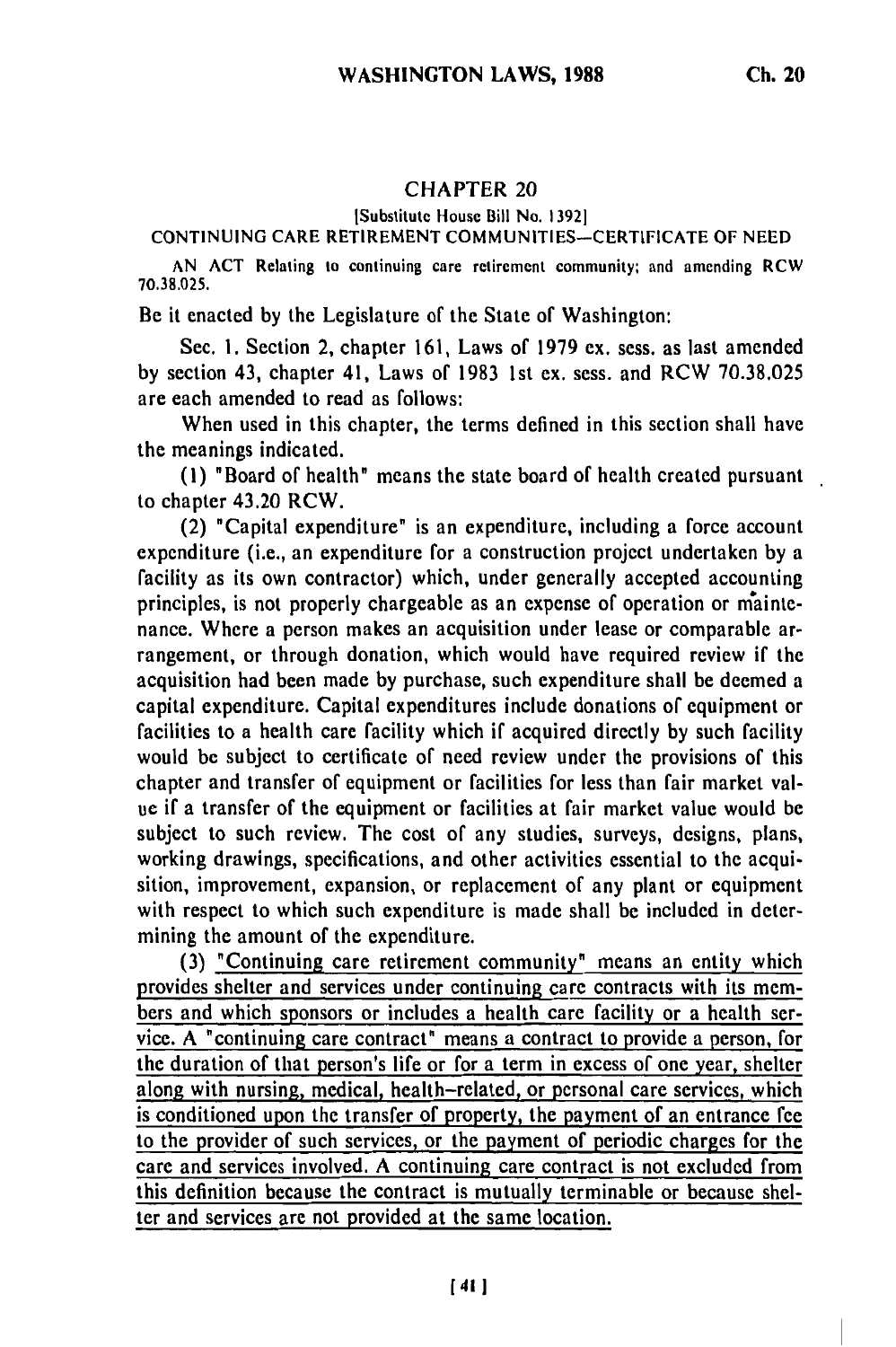## **CHAPTER 20**

## [Substitute House Bill No. **13921**

## **CONTINUING** CARE RETIREMENT **COMMUNITIES-CERTIFICATE** OF **NEED**

**AN ACT** Relating to continuing care retirement community; and amending RCW **70.38.025.**

Be it enacted **by** the Legislature of the State of Washington:

Sec. **1.** Section 2, chapter **161,** Laws of **1979** ex. sess. as last amended **by** section 43, chapter 41, Laws of **1983 1st** ex. sess. and RCW **70.38.025** are each amended to read as follows:

When used in this chapter, the terms defined in this section shall have the meanings indicated.

**(1)** "Board of health" means the state board of health created pursuant to chapter 43.20 RCW.

(2) "Capital expenditure" is an expenditure, including a force account expenditure (i.e., an expenditure for a construction project undertaken **by** a facility as its own contractor) which, under generally accepted accounting principles, is not properly chargeable as an expense of operation or **mainte**nance. Where a person makes an acquisition under lease or comparable arrangement, or through donation, which would have required review if the acquisition had been made **by** purchase, such expenditure shall be deemed a capital expenditure. Capital expenditures include donations of equipment or facilities to a health care facility which if acquired directly **by** such facility would be subject to certificate of need review under the provisions of this chapter and transfer of equipment or facilities for less than fair market value if a transfer of the equipment or facilities at fair market value would **be** subject to such review. The cost of any studies, surveys, designs, plans, working drawings, specifications, and other activities essential to the acquisition, improvement, expansion, or replacement of any plant or equipment with respect to which such expenditure is made shall be included in determining the amount of the expenditure.

**(3)** "Continuing care retirement community" means an entity which provides shelter and services under continuing care contracts with its members and which sponsors or includes a health care facility or a health service. **A** "continuing care contract" means a contract to provide a person, for the duration of that person's life or for a term in excess of one year, shelter along with nursing, medical, health-related, or personal care services, which is conditioned upon the transfer of property, the payment of an entrance fee to the provider of such services, or the payment of periodic charges for the care and services involved. **A** continuing care contract is not excluded from this definition because the contract is mutually terminable or because shelter and services are not provided at the same location.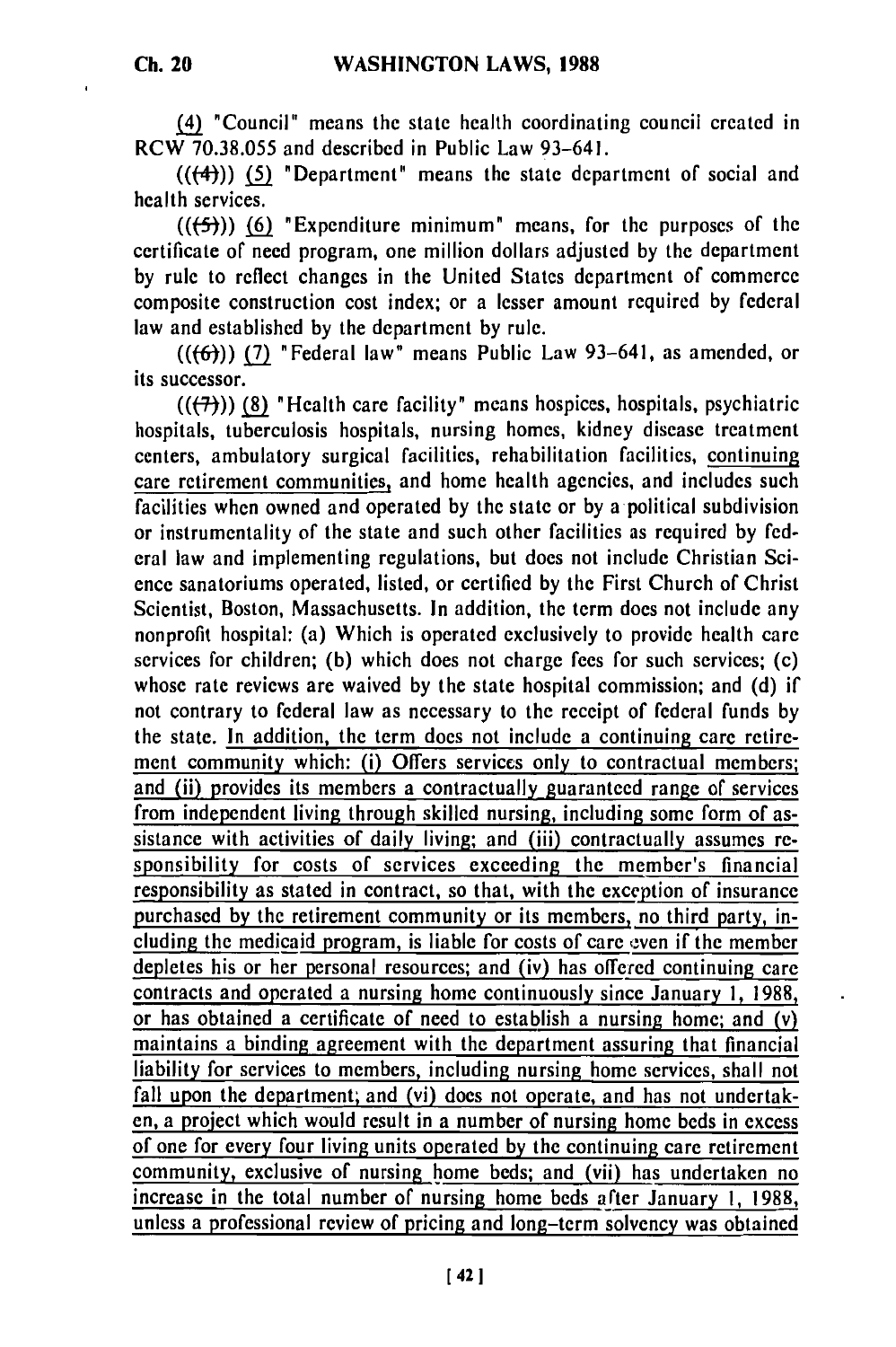**Ch. 20**

(4) "Council" means the state health coordinating council created in RCW 70.38.055 and described in Public Law 93-641.

(((-4)) **(5)** "Department" means the state department of social and health services.

**(((-5))) (6)** "Expenditure minimum" means, for the purposes of the certificate of need program, one million dollars adjusted by the department by rule to reflect changes in the United States department of commerce composite construction cost index; or a lesser amount required by federal law and established by the department by rule.

 $((\left\lbrace 6 \right\rbrace))$  (7) "Federal law" means Public Law 93-641, as amended, or its successor.

(((7)) **(8)** "Health care facility" means hospices, hospitals, psychiatric hospitals, tuberculosis hospitals, nursing homes, kidney disease treatment centers, ambulatory surgical facilities, rehabilitation facilities, continuing care retirement communities, and home health agencies, and includes such facilities when owned and operated by the state or by a political subdivision or instrumentality of the state and such other facilities as required by federal law and implementing regulations, but does not include Christian Science sanatoriums operated, listed, or certified by the First Church of Christ Scientist, Boston, Massachusetts. In addition, the term does not include any nonprofit hospital: (a) Which is operated exclusively to provide health care services for children; (b) which does not charge fees for such services; (c) whose rate reviews are waived by the state hospital commission; and (d) if not contrary to federal law as necessary to the receipt of federal funds by the state. In addition, the term does not include a continuing care retirement community which: (i) Offers services only to contractual members; and (ii) provides its members a contractually guaranteed range of services from independent living through skilled nursing, including some form of assistance with activities of daily living; and (iii) contractually assumes responsibility for costs of services exceeding the member's financial responsibility as stated in contract, so that, with the exception of insurance purchased by the retirement community or its members, no third party, including the medicaid program, is liable for costs of care even if the member depletes his or her personal resources; and (iv) has offered continuing care contracts and operated a nursing home continuously since January **I,** 1988, or has obtained a certificate of need to establish a nursing home; and (v) maintains a binding agreement with the department assuring that financial liability for services to members, including nursing home services, shall not fall upon the department; and (vi) does not operate, and has not undertaken, a project which would result in a number of nursing home beds in excess of one for every four living units operated by the continuing care retirement community, exclusive of nursing home beds; and (vii) has undertaken no increase in the total number of nursing home beds after January **1,** 1988, unless a professional review of pricing and long-term solvency was obtained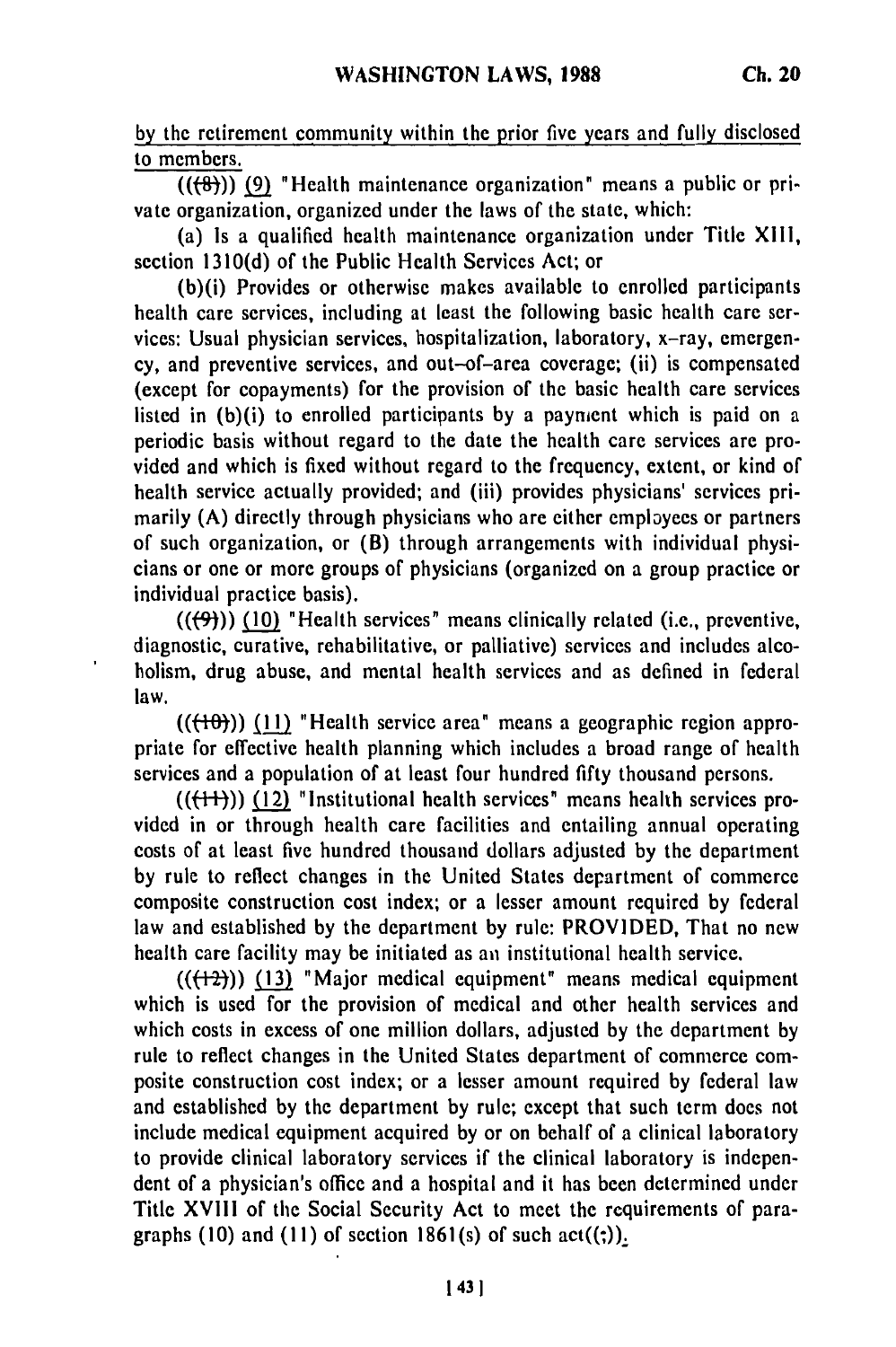**by** the retirement community within the prior five years and fully disclosed to members.

 $((\{8\}))$  (9) "Health maintenance organization" means a public or private organization, organized under the laws of the state, which:

(a) Is a qualified health maintenance organization under Title XIII, section 1310(d) of the Public Health Services Act; or

(b)(i) Provides or otherwise makes available to enrolled participants health care services, including at least the following basic health care services: Usual physician services, hospitalization, laboratory, x-ray, emergency, and preventive services, and out-of-area coverage; (ii) is compensated (except for copayments) for the provision of the basic health care services listed in (b)(i) to enrolled participants by a payment which is paid on a periodic basis without regard to the date the health care services are provided and which is fixed without regard to the frequency, extent, or kind of health service actually provided; and (iii) provides physicians' services primarily (A) directly through physicians who are either employees or partners of such organization, or (B) through arrangements with individual physicians or one or more groups of physicians (organized on a group practice or individual practice basis).

 $((\left\lbrace 9 \right\rbrace))$  (10) "Health services" means clinically related (i.e., preventive, diagnostic, curative, rehabilitative, or palliative) services and includes alcoholism, drug abuse, and mental health services and as defined in federal law.

 $((+10))$  (11) "Health service area" means a geographic region appropriate for effective health planning which includes a broad range of health services and a population of at least four hundred fifty thousand persons.

 $((+1))$  (12) "Institutional health services" means health services provided in or through health care facilities and entailing annual operating costs of at least five hundred thousand dollars adjusted by the department by rule to reflect changes in the United States department of commerce composite construction cost index; or a lesser amount required by federal law and established by the department by rule: PROVIDED, That no new health care facility may be initiated as **an** institutional health service.

 $((+2))$  (13) "Major medical equipment" means medical equipment which is used for the provision of medical and other health services and which costs in excess of one million dollars, adjusted by the department by rule to reflect changes in the United States department of commerce composite construction cost index; or a lesser amount required by federal law and established by the department by rule; except that such term does not include medical equipment acquired **by** or on behalf of a clinical laboratory to provide clinical laboratory services if the clinical laboratory is independent of a physician's office and a hospital and it has been determined under Title XVIII of the Social Security Act to meet the requirements of paragraphs (10) and (11) of section  $1861(s)$  of such act( $(3)$ ).